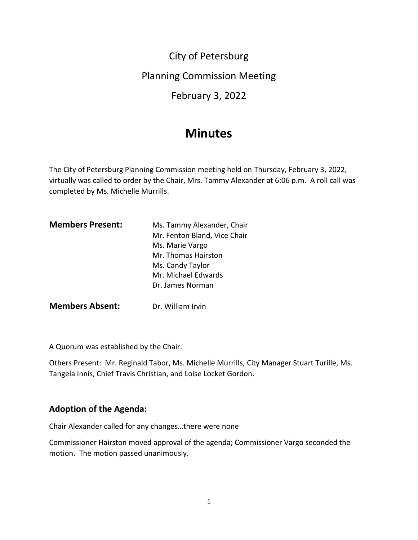City of Petersburg

Planning Commission Meeting

February 3, 2022

# **Minutes**

The City of Petersburg Planning Commission meeting held on Thursday, February 3, 2022, virtually was called to order by the Chair, Mrs. Tammy Alexander at 6:06 p.m. A roll call was completed by Ms. Michelle Murrills.

| <b>Members Present:</b> | Ms. Tammy Alexander, Chair   |
|-------------------------|------------------------------|
|                         | Mr. Fenton Bland, Vice Chair |
|                         | Ms. Marie Vargo              |
|                         | Mr. Thomas Hairston          |
|                         | Ms. Candy Taylor             |
|                         | Mr. Michael Edwards          |
|                         | Dr. James Norman             |
| <b>Members Absent:</b>  | Dr. William Irvin            |

A Quorum was established by the Chair.

Others Present: Mr. Reginald Tabor, Ms. Michelle Murrills, City Manager Stuart Turille, Ms. Tangela Innis, Chief Travis Christian, and Loise Locket Gordon.

## **Adoption of the Agenda:**

Chair Alexander called for any changes…there were none

Commissioner Hairston moved approval of the agenda; Commissioner Vargo seconded the motion. The motion passed unanimously.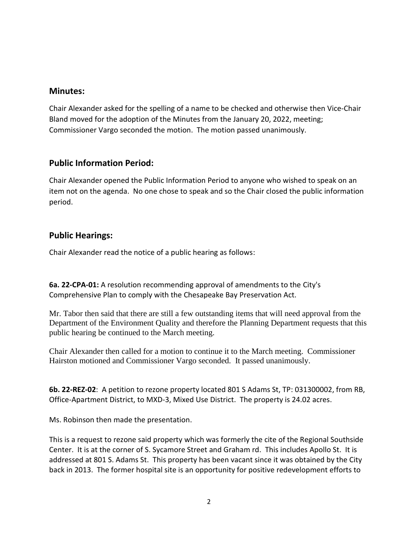#### **Minutes:**

Chair Alexander asked for the spelling of a name to be checked and otherwise then Vice-Chair Bland moved for the adoption of the Minutes from the January 20, 2022, meeting; Commissioner Vargo seconded the motion. The motion passed unanimously.

# **Public Information Period:**

Chair Alexander opened the Public Information Period to anyone who wished to speak on an item not on the agenda. No one chose to speak and so the Chair closed the public information period.

# **Public Hearings:**

Chair Alexander read the notice of a public hearing as follows:

**6a. 22-CPA-01:** A resolution recommending approval of amendments to the City's Comprehensive Plan to comply with the Chesapeake Bay Preservation Act.

Mr. Tabor then said that there are still a few outstanding items that will need approval from the Department of the Environment Quality and therefore the Planning Department requests that this public hearing be continued to the March meeting.

Chair Alexander then called for a motion to continue it to the March meeting. Commissioner Hairston motioned and Commissioner Vargo seconded. It passed unanimously.

**6b. 22-REZ-02**: A petition to rezone property located 801 S Adams St, TP: 031300002, from RB, Office-Apartment District, to MXD-3, Mixed Use District. The property is 24.02 acres.

Ms. Robinson then made the presentation.

This is a request to rezone said property which was formerly the cite of the Regional Southside Center. It is at the corner of S. Sycamore Street and Graham rd. This includes Apollo St. It is addressed at 801 S. Adams St. This property has been vacant since it was obtained by the City back in 2013. The former hospital site is an opportunity for positive redevelopment efforts to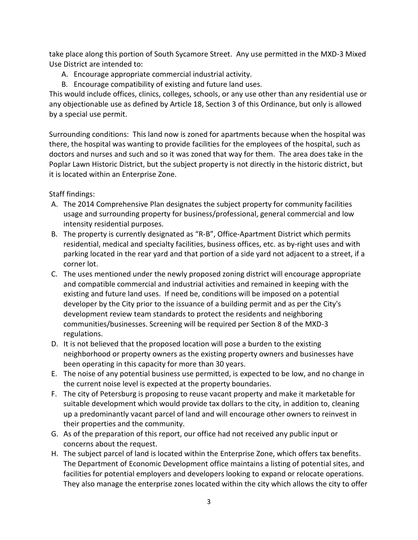take place along this portion of South Sycamore Street. Any use permitted in the MXD-3 Mixed Use District are intended to:

- A. Encourage appropriate commercial industrial activity.
- B. Encourage compatibility of existing and future land uses.

This would include offices, clinics, colleges, schools, or any use other than any residential use or any objectionable use as defined by Article 18, Section 3 of this Ordinance, but only is allowed by a special use permit.

Surrounding conditions: This land now is zoned for apartments because when the hospital was there, the hospital was wanting to provide facilities for the employees of the hospital, such as doctors and nurses and such and so it was zoned that way for them. The area does take in the Poplar Lawn Historic District, but the subject property is not directly in the historic district, but it is located within an Enterprise Zone.

Staff findings:

- A. The 2014 Comprehensive Plan designates the subject property for community facilities usage and surrounding property for business/professional, general commercial and low intensity residential purposes.
- B. The property is currently designated as "R-B", Office-Apartment District which permits residential, medical and specialty facilities, business offices, etc. as by-right uses and with parking located in the rear yard and that portion of a side yard not adjacent to a street, if a corner lot.
- C. The uses mentioned under the newly proposed zoning district will encourage appropriate and compatible commercial and industrial activities and remained in keeping with the existing and future land uses. If need be, conditions will be imposed on a potential developer by the City prior to the issuance of a building permit and as per the City's development review team standards to protect the residents and neighboring communities/businesses. Screening will be required per Section 8 of the MXD-3 regulations.
- D. It is not believed that the proposed location will pose a burden to the existing neighborhood or property owners as the existing property owners and businesses have been operating in this capacity for more than 30 years.
- E. The noise of any potential business use permitted, is expected to be low, and no change in the current noise level is expected at the property boundaries.
- F. The city of Petersburg is proposing to reuse vacant property and make it marketable for suitable development which would provide tax dollars to the city, in addition to, cleaning up a predominantly vacant parcel of land and will encourage other owners to reinvest in their properties and the community.
- G. As of the preparation of this report, our office had not received any public input or concerns about the request.
- H. The subject parcel of land is located within the Enterprise Zone, which offers tax benefits. The Department of Economic Development office maintains a listing of potential sites, and facilities for potential employers and developers looking to expand or relocate operations. They also manage the enterprise zones located within the city which allows the city to offer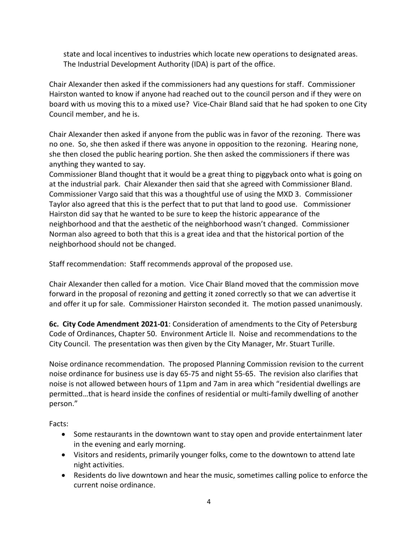state and local incentives to industries which locate new operations to designated areas. The Industrial Development Authority (IDA) is part of the office.

Chair Alexander then asked if the commissioners had any questions for staff. Commissioner Hairston wanted to know if anyone had reached out to the council person and if they were on board with us moving this to a mixed use? Vice-Chair Bland said that he had spoken to one City Council member, and he is.

Chair Alexander then asked if anyone from the public was in favor of the rezoning. There was no one. So, she then asked if there was anyone in opposition to the rezoning. Hearing none, she then closed the public hearing portion. She then asked the commissioners if there was anything they wanted to say.

Commissioner Bland thought that it would be a great thing to piggyback onto what is going on at the industrial park. Chair Alexander then said that she agreed with Commissioner Bland. Commissioner Vargo said that this was a thoughtful use of using the MXD 3. Commissioner Taylor also agreed that this is the perfect that to put that land to good use. Commissioner Hairston did say that he wanted to be sure to keep the historic appearance of the neighborhood and that the aesthetic of the neighborhood wasn't changed. Commissioner Norman also agreed to both that this is a great idea and that the historical portion of the neighborhood should not be changed.

Staff recommendation: Staff recommends approval of the proposed use.

Chair Alexander then called for a motion. Vice Chair Bland moved that the commission move forward in the proposal of rezoning and getting it zoned correctly so that we can advertise it and offer it up for sale. Commissioner Hairston seconded it. The motion passed unanimously.

**6c. City Code Amendment 2021-01**: Consideration of amendments to the City of Petersburg Code of Ordinances, Chapter 50. Environment Article II. Noise and recommendations to the City Council. The presentation was then given by the City Manager, Mr. Stuart Turille.

Noise ordinance recommendation. The proposed Planning Commission revision to the current noise ordinance for business use is day 65-75 and night 55-65. The revision also clarifies that noise is not allowed between hours of 11pm and 7am in area which "residential dwellings are permitted…that is heard inside the confines of residential or multi-family dwelling of another person."

Facts:

- Some restaurants in the downtown want to stay open and provide entertainment later in the evening and early morning.
- Visitors and residents, primarily younger folks, come to the downtown to attend late night activities.
- Residents do live downtown and hear the music, sometimes calling police to enforce the current noise ordinance.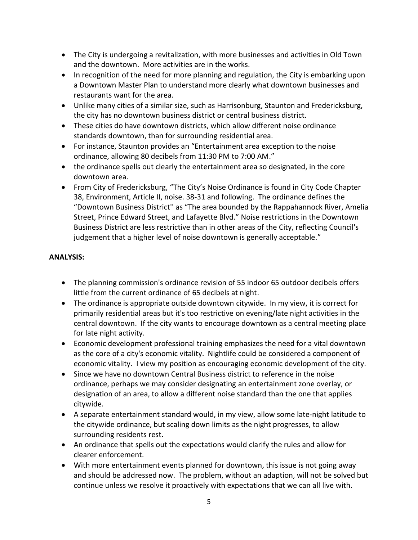- The City is undergoing a revitalization, with more businesses and activities in Old Town and the downtown. More activities are in the works.
- In recognition of the need for more planning and regulation, the City is embarking upon a Downtown Master Plan to understand more clearly what downtown businesses and restaurants want for the area.
- Unlike many cities of a similar size, such as Harrisonburg, Staunton and Fredericksburg, the city has no downtown business district or central business district.
- These cities do have downtown districts, which allow different noise ordinance standards downtown, than for surrounding residential area.
- For instance, Staunton provides an "Entertainment area exception to the noise ordinance, allowing 80 decibels from 11:30 PM to 7:00 AM."
- the ordinance spells out clearly the entertainment area so designated, in the core downtown area.
- From City of Fredericksburg, "The City's Noise Ordinance is found in City Code Chapter 38, Environment, Article II, noise. 38-31 and following. The ordinance defines the "Downtown Business District'' as "The area bounded by the Rappahannock River, Amelia Street, Prince Edward Street, and Lafayette Blvd." Noise restrictions in the Downtown Business District are less restrictive than in other areas of the City, reflecting Council's judgement that a higher level of noise downtown is generally acceptable."

#### **ANALYSIS:**

- The planning commission's ordinance revision of 55 indoor 65 outdoor decibels offers little from the current ordinance of 65 decibels at night.
- The ordinance is appropriate outside downtown citywide. In my view, it is correct for primarily residential areas but it's too restrictive on evening/late night activities in the central downtown. If the city wants to encourage downtown as a central meeting place for late night activity.
- Economic development professional training emphasizes the need for a vital downtown as the core of a city's economic vitality. Nightlife could be considered a component of economic vitality. I view my position as encouraging economic development of the city.
- Since we have no downtown Central Business district to reference in the noise ordinance, perhaps we may consider designating an entertainment zone overlay, or designation of an area, to allow a different noise standard than the one that applies citywide.
- A separate entertainment standard would, in my view, allow some late-night latitude to the citywide ordinance, but scaling down limits as the night progresses, to allow surrounding residents rest.
- An ordinance that spells out the expectations would clarify the rules and allow for clearer enforcement.
- With more entertainment events planned for downtown, this issue is not going away and should be addressed now. The problem, without an adaption, will not be solved but continue unless we resolve it proactively with expectations that we can all live with.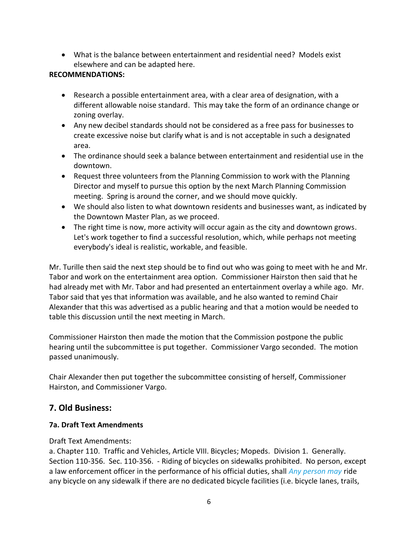• What is the balance between entertainment and residential need? Models exist elsewhere and can be adapted here.

#### **RECOMMENDATIONS:**

- Research a possible entertainment area, with a clear area of designation, with a different allowable noise standard. This may take the form of an ordinance change or zoning overlay.
- Any new decibel standards should not be considered as a free pass for businesses to create excessive noise but clarify what is and is not acceptable in such a designated area.
- The ordinance should seek a balance between entertainment and residential use in the downtown.
- Request three volunteers from the Planning Commission to work with the Planning Director and myself to pursue this option by the next March Planning Commission meeting. Spring is around the corner, and we should move quickly.
- We should also listen to what downtown residents and businesses want, as indicated by the Downtown Master Plan, as we proceed.
- The right time is now, more activity will occur again as the city and downtown grows. Let's work together to find a successful resolution, which, while perhaps not meeting everybody's ideal is realistic, workable, and feasible.

Mr. Turille then said the next step should be to find out who was going to meet with he and Mr. Tabor and work on the entertainment area option. Commissioner Hairston then said that he had already met with Mr. Tabor and had presented an entertainment overlay a while ago. Mr. Tabor said that yes that information was available, and he also wanted to remind Chair Alexander that this was advertised as a public hearing and that a motion would be needed to table this discussion until the next meeting in March.

Commissioner Hairston then made the motion that the Commission postpone the public hearing until the subcommittee is put together. Commissioner Vargo seconded. The motion passed unanimously.

Chair Alexander then put together the subcommittee consisting of herself, Commissioner Hairston, and Commissioner Vargo.

## **7. Old Business:**

#### **7a. Draft Text Amendments**

#### Draft Text Amendments:

a. Chapter 110. Traffic and Vehicles, Article VIII. Bicycles; Mopeds. Division 1. Generally. Section 110-356. Sec. 110-356. - Riding of bicycles on sidewalks prohibited. No person, except a law enforcement officer in the performance of his official duties, shall *Any person may* ride any bicycle on any sidewalk if there are no dedicated bicycle facilities (i.e. bicycle lanes, trails,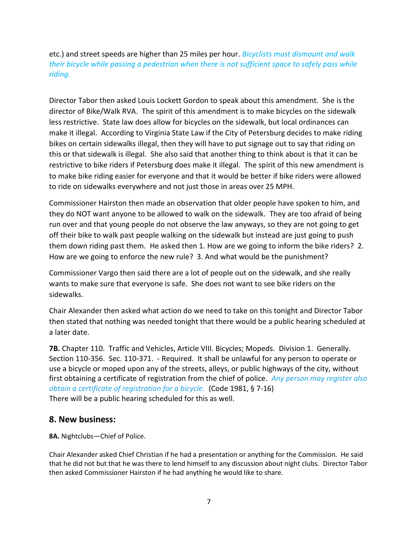etc.) and street speeds are higher than 25 miles per hour. *Bicyclists must dismount and walk their bicycle while passing a pedestrian when there is not sufficient space to safely pass while riding.* 

Director Tabor then asked Louis Lockett Gordon to speak about this amendment. She is the director of Bike/Walk RVA. The spirit of this amendment is to make bicycles on the sidewalk less restrictive. State law does allow for bicycles on the sidewalk, but local ordinances can make it illegal. According to Virginia State Law if the City of Petersburg decides to make riding bikes on certain sidewalks illegal, then they will have to put signage out to say that riding on this or that sidewalk is illegal. She also said that another thing to think about is that it can be restrictive to bike riders if Petersburg does make it illegal. The spirit of this new amendment is to make bike riding easier for everyone and that it would be better if bike riders were allowed to ride on sidewalks everywhere and not just those in areas over 25 MPH.

Commissioner Hairston then made an observation that older people have spoken to him, and they do NOT want anyone to be allowed to walk on the sidewalk. They are too afraid of being run over and that young people do not observe the law anyways, so they are not going to get off their bike to walk past people walking on the sidewalk but instead are just going to push them down riding past them. He asked then 1. How are we going to inform the bike riders? 2. How are we going to enforce the new rule? 3. And what would be the punishment?

Commissioner Vargo then said there are a lot of people out on the sidewalk, and she really wants to make sure that everyone is safe. She does not want to see bike riders on the sidewalks.

Chair Alexander then asked what action do we need to take on this tonight and Director Tabor then stated that nothing was needed tonight that there would be a public hearing scheduled at a later date.

**7B.** Chapter 110. Traffic and Vehicles, Article VIII. Bicycles; Mopeds. Division 1. Generally. Section 110-356. Sec. 110-371. - Required. It shall be unlawful for any person to operate or use a bicycle or moped upon any of the streets, alleys, or public highways of the city, without first obtaining a certificate of registration from the chief of police. *Any person may register also obtain a certificate of registration for a bicycle.* (Code 1981, § 7-16) There will be a public hearing scheduled for this as well.

## **8. New business:**

**8A.** Nightclubs—Chief of Police.

Chair Alexander asked Chief Christian if he had a presentation or anything for the Commission. He said that he did not but that he was there to lend himself to any discussion about night clubs. Director Tabor then asked Commissioner Hairston if he had anything he would like to share.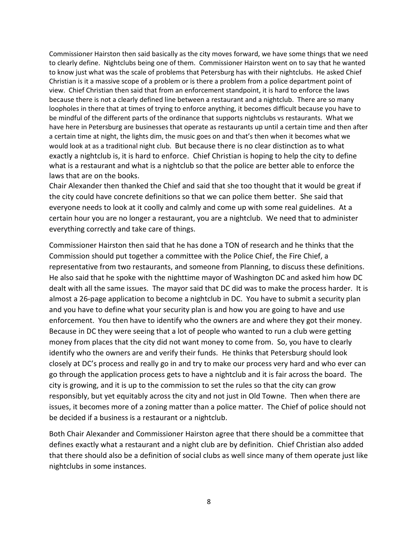Commissioner Hairston then said basically as the city moves forward, we have some things that we need to clearly define. Nightclubs being one of them. Commissioner Hairston went on to say that he wanted to know just what was the scale of problems that Petersburg has with their nightclubs. He asked Chief Christian is it a massive scope of a problem or is there a problem from a police department point of view. Chief Christian then said that from an enforcement standpoint, it is hard to enforce the laws because there is not a clearly defined line between a restaurant and a nightclub. There are so many loopholes in there that at times of trying to enforce anything, it becomes difficult because you have to be mindful of the different parts of the ordinance that supports nightclubs vs restaurants. What we have here in Petersburg are businesses that operate as restaurants up until a certain time and then after a certain time at night, the lights dim, the music goes on and that's then when it becomes what we would look at as a traditional night club. But because there is no clear distinction as to what exactly a nightclub is, it is hard to enforce. Chief Christian is hoping to help the city to define what is a restaurant and what is a nightclub so that the police are better able to enforce the laws that are on the books.

Chair Alexander then thanked the Chief and said that she too thought that it would be great if the city could have concrete definitions so that we can police them better. She said that everyone needs to look at it coolly and calmly and come up with some real guidelines. At a certain hour you are no longer a restaurant, you are a nightclub. We need that to administer everything correctly and take care of things.

Commissioner Hairston then said that he has done a TON of research and he thinks that the Commission should put together a committee with the Police Chief, the Fire Chief, a representative from two restaurants, and someone from Planning, to discuss these definitions. He also said that he spoke with the nighttime mayor of Washington DC and asked him how DC dealt with all the same issues. The mayor said that DC did was to make the process harder. It is almost a 26-page application to become a nightclub in DC. You have to submit a security plan and you have to define what your security plan is and how you are going to have and use enforcement. You then have to identify who the owners are and where they got their money. Because in DC they were seeing that a lot of people who wanted to run a club were getting money from places that the city did not want money to come from. So, you have to clearly identify who the owners are and verify their funds. He thinks that Petersburg should look closely at DC's process and really go in and try to make our process very hard and who ever can go through the application process gets to have a nightclub and it is fair across the board. The city is growing, and it is up to the commission to set the rules so that the city can grow responsibly, but yet equitably across the city and not just in Old Towne. Then when there are issues, it becomes more of a zoning matter than a police matter. The Chief of police should not be decided if a business is a restaurant or a nightclub.

Both Chair Alexander and Commissioner Hairston agree that there should be a committee that defines exactly what a restaurant and a night club are by definition. Chief Christian also added that there should also be a definition of social clubs as well since many of them operate just like nightclubs in some instances.